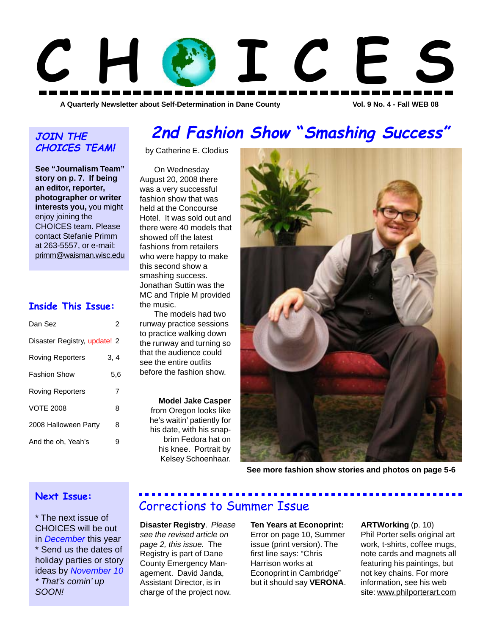

# **JOIN THE CHOICES TEAM!**

**See "Journalism Team" story on p. 7. If being an editor, reporter, photographer or writer interests you,** you might enjoy joining the CHOICES team. Please contact Stefanie Primm at 263-5557, or e-mail: primm@waisman.wisc.edu

# **Inside This Issue:**

| Dan Sez                      | 2    |
|------------------------------|------|
| Disaster Registry, update! 2 |      |
| <b>Roving Reporters</b>      | 3, 4 |
| <b>Fashion Show</b>          | 5.6  |
| <b>Roving Reporters</b>      | 7    |
| <b>VOTE 2008</b>             | 8    |
| 2008 Halloween Party         | 8    |
| And the oh, Yeah's           |      |

# **2nd Fashion Show "Smashing Success"**

by Catherine E. Clodius

On Wednesday August 20, 2008 there was a very successful fashion show that was held at the Concourse Hotel. It was sold out and there were 40 models that showed off the latest fashions from retailers who were happy to make this second show a smashing success. Jonathan Suttin was the MC and Triple M provided the music.

The models had two runway practice sessions to practice walking down the runway and turning so that the audience could see the entire outfits before the fashion show.

#### **Model Jake Casper**

from Oregon looks like he's waitin' patiently for his date, with his snapbrim Fedora hat on his knee. Portrait by Kelsey Schoenhaar.



**See more fashion show stories and photos on page 5-6**

# **Next Issue:**

\* The next issue of CHOICES will be out in *December* this year \* Send us the dates of holiday parties or story ideas by *November 10 \* That's comin' up SOON!*

# Corrections to Summer Issue

**Disaster Registry**. *Please see the revised article on page 2, this issue.* The Registry is part of Dane County Emergency Management. David Janda, Assistant Director, is in charge of the project now.

**Ten Years at Econoprint:** Error on page 10, Summer issue (print version). The first line says: "Chris Harrison works at Econoprint in Cambridge" but it should say **VERONA**.

**ARTWorking** (p. 10) Phil Porter sells original art work, t-shirts, coffee mugs, note cards and magnets all featuring his paintings, but not key chains. For more information, see his web site: www.philporterart.com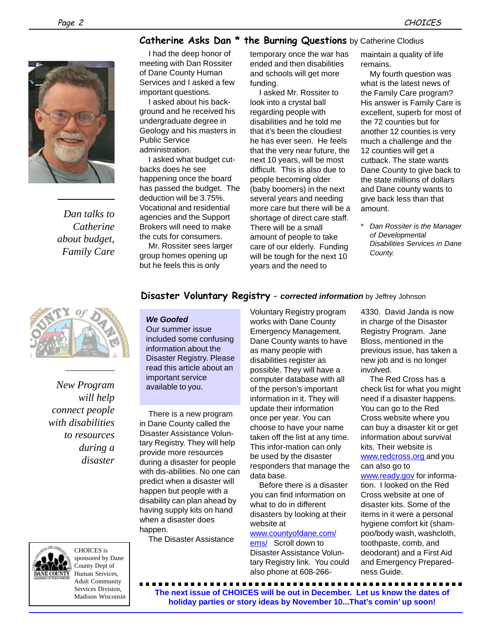# **Catherine Asks Dan \* the Burning Questions** by Catherine Clodius



*Dan talks to Catherine about budget, Family Care*

I had the deep honor of meeting with Dan Rossiter of Dane County Human Services and I asked a few important questions.

I asked about his background and he received his undergraduate degree in Geology and his masters in Public Service administration.

I asked what budget cutbacks does he see happening once the board has passed the budget. The deduction will be 3.75%. Vocational and residential agencies and the Support Brokers will need to make the cuts for consumers.

Mr. Rossiter sees larger group homes opening up but he feels this is only

temporary once the war has ended and then disabilities and schools will get more funding.

I asked Mr. Rossiter to look into a crystal ball regarding people with disabilities and he told me that it's been the cloudiest he has ever seen. He feels that the very near future, the next 10 years, will be most difficult. This is also due to people becoming older (baby boomers) in the next several years and needing more care but there will be a shortage of direct care staff. There will be a small amount of people to take care of our elderly. Funding will be tough for the next 10 years and the need to

maintain a quality of life remains.

My fourth question was what is the latest news of the Family Care program? His answer is Family Care is excellent, superb for most of the 72 counties but for another 12 counties is very much a challenge and the 12 counties will get a cutback. The state wants Dane County to give back to the state millions of dollars and Dane county wants to give back less than that amount.

**Dan Rossiter is the Manager** *of Developmental Disabilities Services in Dane County.*



*New Program will help connect people with disabilities to resources during a disaster*

# **Disaster Voluntary Registry** - *corrected information* by Jeffrey Johnson

## *We Goofed*

Our summer issue included some confusing information about the Disaster Registry. Please read this article about an important service available to you.

There is a new program in Dane County called the Disaster Assistance Voluntary Registry. They will help provide more resources during a disaster for people with dis-abilities. No one can predict when a disaster will happen but people with a disability can plan ahead by having supply kits on hand when a disaster does happen.

The Disaster Assistance

Voluntary Registry program works with Dane County Emergency Management. Dane County wants to have as many people with disabilities register as possible. They will have a computer database with all of the person's important information in it. They will update their information once per year. You can choose to have your name taken off the list at any time. This infor-mation can only be used by the disaster responders that manage the data base.

Before there is a disaster you can find information on what to do in different disasters by looking at their website at

#### www.countyofdane.com/

ems/ Scroll down to Disaster Assistance Voluntary Registry link. You could also phone at 608-266-

4330. David Janda is now in charge of the Disaster Registry Program. Jane Bloss, mentioned in the previous issue, has taken a new job and is no longer involved.

The Red Cross has a check list for what you might need if a disaster happens. You can go to the Red Cross website where you can buy a disaster kit or get information about survival kits. Their website is www.redcross.org and you can also go to www.ready.gov for information. I looked on the Red Cross website at one of disaster kits. Some of the items in it were a personal hygiene comfort kit (shampoo/body wash, washcloth, toothpaste, comb, and deodorant) and a First Aid

and Emergency Prepared-

ness Guide.

CHOICES is sponsored by Dane County Dept of Human Services, Adult Community Services Division, Madison Wisconsin

**The next issue of CHOICES will be out in December. Let us know the dates of holiday parties or story ideas by November 10...That's comin' up soon!**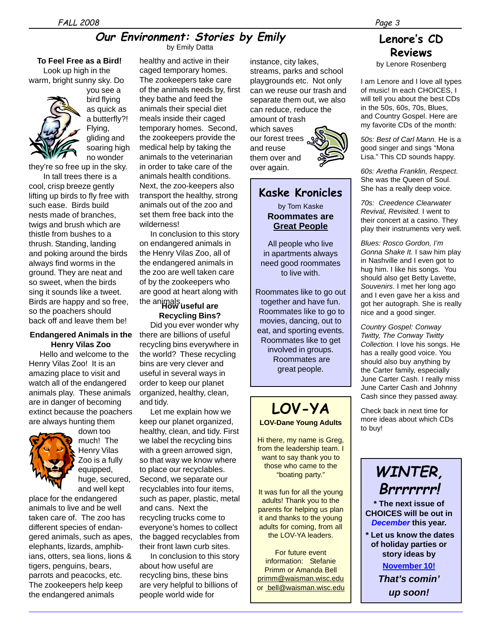# **Our Environment: Stories by Emily**

by Emily Datta

## **To Feel Free as a Bird!**

Look up high in the warm, bright sunny sky. Do



you see a bird flying as quick as a butterfly?! Flying, gliding and soaring high no wonder

they're so free up in the sky.

In tall trees there is a cool, crisp breeze gently lifting up birds to fly free with such ease. Birds build nests made of branches, twigs and brush which are thistle from bushes to a thrush. Standing, landing and poking around the birds always find worms in the ground. They are neat and so sweet, when the birds sing it sounds like a tweet. Birds are happy and so free, so the poachers should back off and leave them be!

#### **Endangered Animals in the Henry Vilas Zoo**

Hello and welcome to the Henry Vilas Zoo! It is an amazing place to visit and watch all of the endangered animals play. These animals are in danger of becoming extinct because the poachers are always hunting them



down too much! The Henry Vilas Zoo is a fully equipped, huge, secured, and well kept

place for the endangered animals to live and be well taken care of. The zoo has different species of endangered animals, such as apes, elephants, lizards, amphibians, otters, sea lions, lions & tigers, penguins, bears, parrots and peacocks, etc. The zookeepers help keep the endangered animals

healthy and active in their caged temporary homes. The zookeepers take care of the animals needs by, first they bathe and feed the animals their special diet meals inside their caged temporary homes. Second, the zookeepers provide the medical help by taking the animals to the veterinarian in order to take care of the animals health conditions. Next, the zoo-keepers also transport the healthy, strong animals out of the zoo and set them free back into the wilderness!

**How useful are** the animals. In conclusion to this story on endangered animals in the Henry Vilas Zoo, all of the endangered animals in the zoo are well taken care of by the zookeepers who are good at heart along with

**Recycling Bins?** Did you ever wonder why there are billions of useful recycling bins everywhere in the world? These recycling bins are very clever and useful in several ways in order to keep our planet organized, healthy, clean, and tidy.

Let me explain how we keep our planet organized, healthy, clean, and tidy. First we label the recycling bins with a green arrowed sign, so that way we know where to place our recyclables. Second, we separate our recyclables into four items, such as paper, plastic, metal and cans. Next the recycling trucks come to everyone's homes to collect the bagged recyclables from their front lawn curb sites.

In conclusion to this story about how useful are recycling bins, these bins are very helpful to billions of people world wide for

instance, city lakes, streams, parks and school playgrounds etc. Not only can we reuse our trash and separate them out, we also can reduce, reduce the amount of trash which saves our forest trees and reuse them over and over again.

# **Kaske Kronicles**

by Tom Kaske **Roommates are Great People**

All people who live in apartments always need good roommates to live with.

Roommates like to go out together and have fun. Roommates like to go to movies, dancing, out to eat, and sporting events. Roommates like to get involved in groups. Roommates are great people.

# **LOV-YA LOV-Dane Young Adults**

Hi there, my name is Greg, from the leadership team. I want to say thank you to those who came to the "boating party."

It was fun for all the young adults! Thank you to the parents for helping us plan it and thanks to the young adults for coming, from all the LOV-YA leaders.

For future event information: Stefanie Primm or Amanda Bell primm@waisman.wisc.edu or bell@waisman.wisc.edu

# **Lenore's CD Reviews**

by Lenore Rosenberg

I am Lenore and I love all types of music! In each CHOICES, I will tell you about the best CDs in the 50s, 60s, 70s, Blues, and Country Gospel. Here are my favorite CDs of the month:

*50s: Best of Carl Mann.* He is a good singer and sings "Mona Lisa." This CD sounds happy.

*60s: Aretha Franklin, Respect.* She was the Queen of Soul. She has a really deep voice.

*70s: Creedence Clearwater Revival, Revisited.* I went to their concert at a casino. They play their instruments very well.

*Blues: Rosco Gordon, I'm Gonna Shake It.* I saw him play in Nashville and I even got to hug him. I like his songs. You should also get Betty Lavette, *Souvenirs*. I met her long ago and I even gave her a kiss and got her autograph. She is really nice and a good singer.

*Country Gospel: Conway Twitty, The Conway Twitty Collection.* I love his songs. He has a really good voice. You should also buy anything by the Carter family, especially June Carter Cash. I really miss June Carter Cash and Johnny Cash since they passed away.

Check back in next time for more ideas about which CDs to buy!



**CHOICES will be out in** *December* **this year.**

 **\* Let us know the dates of holiday parties or story ideas by**

**November 10!**

*That's comin' up soon!*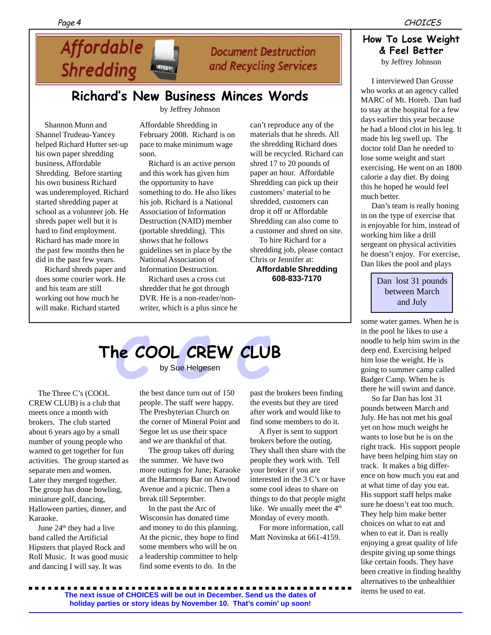# Affordable **Shredding BURGARY**

# **Document Destruction** and Recycling Services

# **Richard's New Business Minces Words**

by Jeffrey Johnson

Shannon Munn and Shannel Trudeau-Yancey helped Richard Hutter set-up his own paper shredding business, Affordable Shredding. Before starting his own business Richard was underemployed. Richard started shredding paper at school as a volunteer job. He shreds paper well but it is hard to find employment. Richard has made more in the past few months then he did in the past few years.

Richard shreds paper and does some courier work. He and his team are still working out how much he will make. Richard started

Affordable Shredding in February 2008. Richard is on pace to make minimum wage soon.

Richard is an active person and this work has given him the opportunity to have something to do. He also likes his job. Richard is a National Association of Information Destruction (NAID) member (portable shredding). This shows that he follows guidelines set in place by the National Association of Information Destruction.

Richard uses a cross cut shredder that he got through DVR. He is a non-reader/nonwriter, which is a plus since he can't reproduce any of the materials that he shreds. All the shredding Richard does will be recycled. Richard can shred 17 to 20 pounds of paper an hour. Affordable Shredding can pick up their customers' material to be shredded, customers can drop it off or Affordable Shredding can also come to a customer and shred on site.

To hire Richard for a shredding job, please contact Chris or Jennifer at:

**Affordable Shredding 608-833-7170**

## Page 4 CHOICES

## **How To Lose Weight & Feel Better** by Jeffrey Johnson

I interviewed Dan Grosse who works at an agency called MARC of Mt. Horeb. Dan had to stay at the hospital for a few days earlier this year because he had a blood clot in his leg. It made his leg swell up. The doctor told Dan he needed to lose some weight and start exercising. He went on an 1800 calorie a day diet. By doing this he hoped he would feel much better.

Dan's team is really honing in on the type of exercise that is enjoyable for him, instead of working him like a drill sergeant on physical activities he doesn't enjoy. For exercise, Dan likes the pool and plays

> Dan lost 31 pounds between March and July

some water games. When he is in the pool he likes to use a noodle to help him swim in the deep end. Exercising helped him lose the weight. He is going to summer camp called Badger Camp. When he is there he will swim and dance.

So far Dan has lost 31 pounds between March and July. He has not met his goal yet on how much weight he wants to lose but he is on the right track. His support people have been helping him stay on track. It makes a big difference on how much you eat and at what time of day you eat. His support staff helps make sure he doesn't eat too much. They help him make better choices on what to eat and when to eat it. Dan is really enjoying a great quality of life despite giving up some things like certain foods. They have been creative in finding healthy alternatives to the unhealthier items he used to eat.

# **COOL CREW CLU**<br>by Sue Helgesen **The COOL CREW CLUB**

by Sue Helgesen

The Three C's (COOL CREW CLUB) is a club that meets once a month with brokers. The club started about 6 years ago by a small number of young people who wanted to get together for fun activities. The group started as separate men and women. Later they merged together. The group has done bowling, miniature golf, dancing, Halloween parties, dinner, and Karaoke.

June 24<sup>th</sup> they had a live band called the Artificial Hipsters that played Rock and Roll Music. It was good music and dancing I will say. It was

the best dance turn out of 150 people. The staff were happy. The Presbyterian Church on the corner of Mineral Point and Segoe let us use their space and we are thankful of that.

The group takes off during the summer. We have two more outings for June; Karaoke at the Harmony Bar on Atwood Avenue and a picnic. Then a break till September.

In the past the Arc of Wisconsin has donated time and money to do this planning. At the picnic, they hope to find some members who will be on a leadership committee to help find some events to do. In the

past the brokers been finding the events but they are tired after work and would like to find some members to do it.

A flyer is sent to support brokers before the outing. They shall then share with the people they work with. Tell your broker if you are interested in the 3 C's or have some cool ideas to share on things to do that people might like. We usually meet the 4<sup>th</sup> Monday of every month.

For more information, call Matt Novinska at 661-4159.

**The next issue of CHOICES will be out in December. Send us the dates of holiday parties or story ideas by November 10. That's comin' up soon!**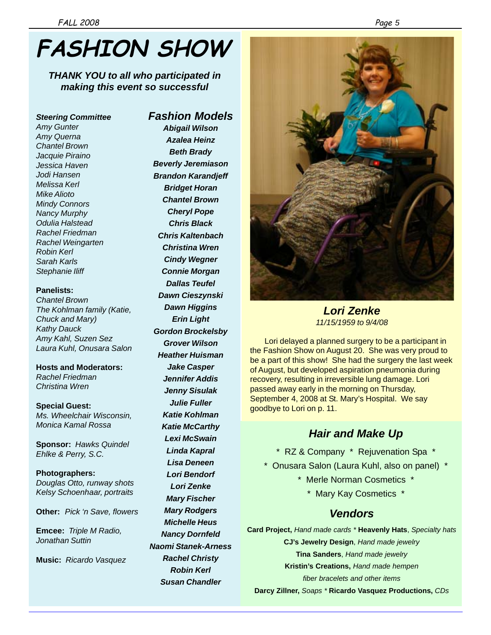# **FASHION SHOW**

*THANK YOU to all who participated in making this event so successful*

*Steering Committee Amy Gunter Amy Querna Chantel Brown Jacquie Piraino Jessica Haven Jodi Hansen Melissa Kerl Mike Alioto Mindy Connors Nancy Murphy Odulia Halstead Rachel Friedman Rachel Weingarten Robin Kerl Sarah Karls Stephanie Iliff*

#### **Panelists:**

*Chantel Brown The Kohlman family (Katie, Chuck and Mary) Kathy Dauck Amy Kahl, Suzen Sez Laura Kuhl, Onusara Salon*

**Hosts and Moderators:** *Rachel Friedman Christina Wren*

**Special Guest:** *Ms. Wheelchair Wisconsin, Monica Kamal Rossa*

**Sponsor:** *Hawks Quindel Ehlke & Perry, S.C.*

**Photographers:** *Douglas Otto, runway shots Kelsy Schoenhaar, portraits*

**Other:** *Pick 'n Save, flowers*

**Emcee:** *Triple M Radio, Jonathan Suttin*

**Music:** *Ricardo Vasquez*

# *Fashion Models*

*Abigail Wilson Azalea Heinz Beth Brady Beverly Jeremiason Brandon Karandjeff Bridget Horan Chantel Brown Cheryl Pope Chris Black Chris Kaltenbach Christina Wren Cindy Wegner Connie Morgan Dallas Teufel Dawn Cieszynski Dawn Higgins Erin Light Gordon Brockelsby Grover Wilson Heather Huisman Jake Casper Jennifer Addis Jenny Sisulak Julie Fuller Katie Kohlman Katie McCarthy Lexi McSwain Linda Kapral Lisa Deneen Lori Bendorf Lori Zenke Mary Fischer Mary Rodgers Michelle Heus Nancy Dornfeld Naomi Stanek-Arness Rachel Christy Robin Kerl Susan Chandler*



*Lori Zenke 11/15/1959 to 9/4/08*

Lori delayed a planned surgery to be a participant in the Fashion Show on August 20. She was very proud to be a part of this show! She had the surgery the last week of August, but developed aspiration pneumonia during recovery, resulting in irreversible lung damage. Lori passed away early in the morning on Thursday, September 4, 2008 at St. Mary's Hospital. We say goodbye to Lori on p. 11.

# *Hair and Make Up*

- \* RZ & Company \* Rejuvenation Spa \*
- \* Onusara Salon (Laura Kuhl, also on panel) \*
	- \* Merle Norman Cosmetics \*
		- \* Mary Kay Cosmetics \*

# *Vendors*

**Card Project,** *Hand made cards \** **Heavenly Hats**, *Specialty hats* **CJ's Jewelry Design**, *Hand made jewelry* **Tina Sanders**, *Hand made jewelry*

**Kristin's Creations,** *Hand made hempen*

*fiber bracelets and other items*

**Darcy Zillner,** *Soaps \** **Ricardo Vasquez Productions,** *CDs*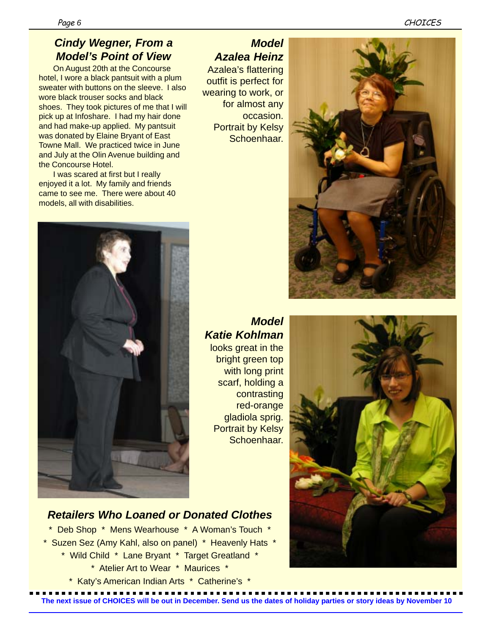# *6*

# *Cindy Wegner, From a Model's Point of View*

On August 20th at the Concourse hotel, I wore a black pantsuit with a plum sweater with buttons on the sleeve. I also wore black trouser socks and black shoes. They took pictures of me that I will pick up at Infoshare. I had my hair done and had make-up applied. My pantsuit was donated by Elaine Bryant of East Towne Mall. We practiced twice in June and July at the Olin Avenue building and the Concourse Hotel.

I was scared at first but I really enjoyed it a lot. My family and friends came to see me. There were about 40 models, all with disabilities.

# *Model Azalea Heinz*

Azalea's flattering outfit is perfect for wearing to work, or for almost any occasion. Portrait by Kelsy Schoenhaar.



# *Model Katie Kohlman*

looks great in the bright green top with long print scarf, holding a contrasting red-orange gladiola sprig. Portrait by Kelsy Schoenhaar.



# *Retailers Who Loaned or Donated Clothes*

\* Deb Shop \* Mens Wearhouse \* A Woman's Touch \* \* Suzen Sez (Amy Kahl, also on panel) \* Heavenly Hats \* \* Wild Child \* Lane Bryant \* Target Greatland \* \* Atelier Art to Wear \* Maurices \* \* Katy's American Indian Arts \* Catherine's \*

**The next issue of CHOICES will be out in December. Send us the dates of holiday parties or story ideas by November 10**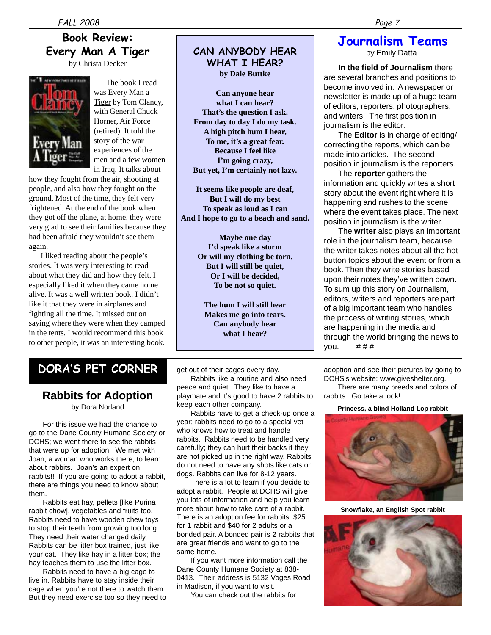# **Book Review: Every Man A Tiger**

by Christa Decker



 The book I read was Every Man a Tiger by Tom Clancy, with General Chuck Horner, Air Force (retired). It told the story of the war experiences of the men and a few women in Iraq. It talks about

how they fought from the air, shooting at people, and also how they fought on the ground. Most of the time, they felt very frightened. At the end of the book when they got off the plane, at home, they were very glad to see their families because they had been afraid they wouldn't see them again.

 I liked reading about the people's stories. It was very interesting to read about what they did and how they felt. I especially liked it when they came home alive. It was a well written book. I didn't like it that they were in airplanes and fighting all the time. It missed out on saying where they were when they camped in the tents. I would recommend this book to other people, it was an interesting book.

# **CAN ANYBODY HEAR WHAT I HEAR? by Dale Buttke**

**Can anyone hear what I can hear? That's the question I ask. From day to day I do my task. A high pitch hum I hear, To me, it's a great fear. Because I feel like I'm going crazy, But yet, I'm certainly not lazy.**

**It seems like people are deaf, But I will do my best To speak as loud as I can And I hope to go to a beach and sand.**

> **Maybe one day I'd speak like a storm Or will my clothing be torn. But I will still be quiet, Or I will be decided, To be not so quiet.**

**The hum I will still hear Makes me go into tears. Can anybody hear what I hear?**

# **DORA'S PET CORNER**

# **Rabbits for Adoption** by Dora Norland

For this issue we had the chance to go to the Dane County Humane Society or DCHS; we went there to see the rabbits that were up for adoption. We met with Joan, a woman who works there, to learn about rabbits. Joan's an expert on rabbits!! If you are going to adopt a rabbit, there are things you need to know about them.

Rabbits eat hay, pellets [like Purina rabbit chow], vegetables and fruits too. Rabbits need to have wooden chew toys to stop their teeth from growing too long. They need their water changed daily. Rabbits can be litter box trained, just like your cat. They like hay in a litter box; the hay teaches them to use the litter box.

Rabbits need to have a big cage to live in. Rabbits have to stay inside their cage when you're not there to watch them. But they need exercise too so they need to get out of their cages every day.

Rabbits like a routine and also need peace and quiet. They like to have a playmate and it's good to have 2 rabbits to keep each other company.

Rabbits have to get a check-up once a year; rabbits need to go to a special vet who knows how to treat and handle rabbits. Rabbits need to be handled very carefully; they can hurt their backs if they are not picked up in the right way. Rabbits do not need to have any shots like cats or dogs. Rabbits can live for 8-12 years.

There is a lot to learn if you decide to adopt a rabbit. People at DCHS will give you lots of information and help you learn more about how to take care of a rabbit. There is an adoption fee for rabbits: \$25 for 1 rabbit and \$40 for 2 adults or a bonded pair. A bonded pair is 2 rabbits that are great friends and want to go to the same home.

If you want more information call the Dane County Humane Society at 838- 0413. Their address is 5132 Voges Road in Madison, if you want to visit.

You can check out the rabbits for

# **Journalism Teams**

by Emily Datta

**In the field of Journalism** there are several branches and positions to become involved in. A newspaper or newsletter is made up of a huge team of editors, reporters, photographers, and writers! The first position in journalism is the editor.

The **Editor** is in charge of editing/ correcting the reports, which can be made into articles. The second position in journalism is the reporters.

The **reporter** gathers the information and quickly writes a short story about the event right where it is happening and rushes to the scene where the event takes place. The next position in journalism is the writer.

The **writer** also plays an important role in the journalism team, because the writer takes notes about all the hot button topics about the event or from a book. Then they write stories based upon their notes they've written down. To sum up this story on Journalism, editors, writers and reporters are part of a big important team who handles the process of writing stories, which are happening in the media and through the world bringing the news to you.  $\# \# \#$ 

adoption and see their pictures by going to DCHS's website: www.giveshelter.org.

There are many breeds and colors of rabbits. Go take a look!

**Princess, a blind Holland Lop rabbit**



**Snowflake, an English Spot rabbit**

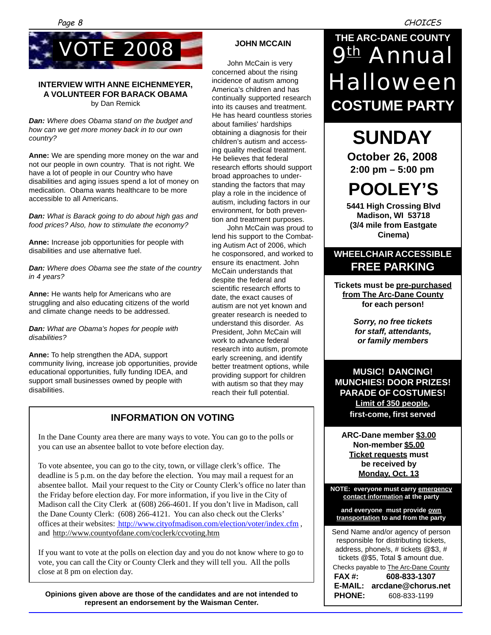

#### **INTERVIEW WITH ANNE EICHENMEYER, A VOLUNTEER FOR BARACK OBAMA** by Dan Remick

*Dan: Where does Obama stand on the budget and how can we get more money back in to our own country?*

**Anne:** We are spending more money on the war and not our people in own country. That is not right. We have a lot of people in our Country who have disabilities and aging issues spend a lot of money on medication. Obama wants healthcare to be more accessible to all Americans.

*Dan: What is Barack going to do about high gas and food prices? Also, how to stimulate the economy?*

**Anne:** Increase job opportunities for people with disabilities and use alternative fuel.

*Dan: Where does Obama see the state of the country in 4 years?*

**Anne:** He wants help for Americans who are struggling and also educating citizens of the world and climate change needs to be addressed.

*Dan: What are Obama's hopes for people with disabilities?*

**Anne:** To help strengthen the ADA, support community living, increase job opportunities, provide educational opportunities, fully funding IDEA, and support small businesses owned by people with disabilities.

# **JOHN MCCAIN**

John McCain is very concerned about the rising incidence of autism among America's children and has continually supported research into its causes and treatment. He has heard countless stories about families' hardships obtaining a diagnosis for their children's autism and accessing quality medical treatment. He believes that federal research efforts should support broad approaches to understanding the factors that may play a role in the incidence of autism, including factors in our environment, for both prevention and treatment purposes.

John McCain was proud to lend his support to the Combating Autism Act of 2006, which he cosponsored, and worked to ensure its enactment. John McCain understands that despite the federal and scientific research efforts to date, the exact causes of autism are not yet known and greater research is needed to understand this disorder. As President, John McCain will work to advance federal research into autism, promote early screening, and identify better treatment options, while providing support for children with autism so that they may reach their full potential.

# **INFORMATION ON VOTING**

In the Dane County area there are many ways to vote. You can go to the polls or you can use an absentee ballot to vote before election day.

To vote absentee, you can go to the city, town, or village clerk's office. The deadline is 5 p.m. on the day before the election. You may mail a request for an absentee ballot. Mail your request to the City or County Clerk's office no later than the Friday before election day. For more information, if you live in the City of Madison call the City Clerk at (608) 266-4601. If you don't live in Madison, call the Dane County Clerk: (608) 266-4121. You can also check out the Clerks' offices at their websites: http://www.cityofmadison.com/election/voter/index.cfm , and http://www.countyofdane.com/coclerk/ccvoting.htm

If you want to vote at the polls on election day and you do not know where to go to vote, you can call the City or County Clerk and they will tell you. All the polls close at 8 pm on election day.

**Opinions given above are those of the candidates and are not intended to represent an endorsement by the Waisman Center.**

# **THE ARC-DANE COUNTY** 9th Annual Halloween **COSTUME PARTY**

# **SUNDAY**

**October 26, 2008 2:00 pm – 5:00 pm**

# **POOLEY'S**

**5441 High Crossing Blvd Madison, WI 53718 (3/4 mile from Eastgate Cinema)**

# **WHEELCHAIR ACCESSIBLE FREE PARKING**

**Tickets must be pre-purchased from The Arc-Dane County for each person!**

> *Sorry, no free tickets for staff, attendants, or family members*

**MUSIC! DANCING! MUNCHIES! DOOR PRIZES! PARADE OF COSTUMES! Limit of 350 people, first-come, first served**

**ARC-Dane member \$3.00 Non-member \$5.00 Ticket requests must be received by Monday, Oct. 13**

**NOTE: everyone must carry emergency contact information at the party**

**and everyone must provide own transportation to and from the party**

Send Name and/or agency of person responsible for distributing tickets, address, phone/s, # tickets @\$3, # tickets @\$5, Total \$ amount due. Checks payable to The Arc-Dane County **FAX #: 608-833-1307 E-MAIL: arcdane@chorus.net PHONE:** 608-833-1199